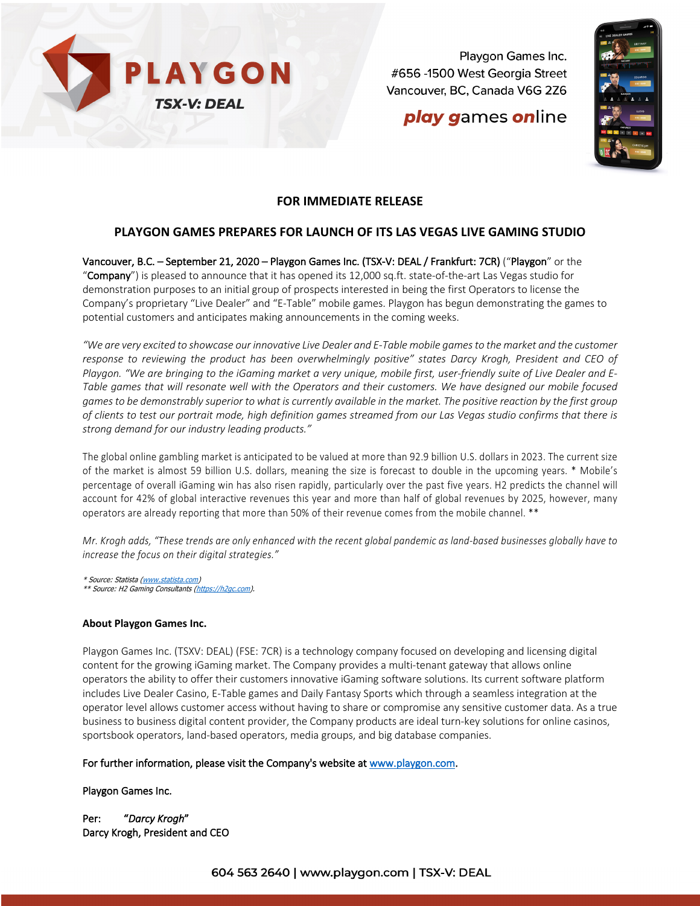

Playgon Games Inc. #656 -1500 West Georgia Street Vancouver, BC, Canada V6G 2Z6

# play games online



### **FOR IMMEDIATE RELEASE**

## **PLAYGON GAMES PREPARES FOR LAUNCH OF ITS LAS VEGAS LIVE GAMING STUDIO**

Vancouver, B.C. – September 21, 2020 – Playgon Games Inc. (TSX-V: DEAL / Frankfurt: 7CR) ("Playgon" or the "Company") is pleased to announce that it has opened its 12,000 sq.ft. state-of-the-art Las Vegas studio for demonstration purposes to an initial group of prospects interested in being the first Operators to license the Company's proprietary "Live Dealer" and "E-Table" mobile games. Playgon has begun demonstrating the games to potential customers and anticipates making announcements in the coming weeks.

*"We are very excited to showcase our innovative Live Dealer and E-Table mobile games to the market and the customer response to reviewing the product has been overwhelmingly positive" states Darcy Krogh, President and CEO of Playgon. "We are bringing to the iGaming market a very unique, mobile first, user-friendly suite of Live Dealer and E-Table games that will resonate well with the Operators and their customers. We have designed our mobile focused games to be demonstrably superior to what is currently available in the market. The positive reaction by the first group of clients to test our portrait mode, high definition games streamed from our Las Vegas studio confirms that there is strong demand for our industry leading products."*

The global online gambling market is anticipated to be valued at more than 92.9 billion U.S. dollars in 2023. The current size of the market is almost 59 billion U.S. dollars, meaning the size is forecast to double in the upcoming years. \* Mobile's percentage of overall iGaming win has also risen rapidly, particularly over the past five years. H2 predicts the channel will account for 42% of global interactive revenues this year and more than half of global revenues by 2025, however, many operators are already reporting that more than 50% of their revenue comes from the mobile channel. \*\*

*Mr. Krogh adds, "These trends are only enhanced with the recent global pandemic as land-based businesses globally have to increase the focus on their digital strategies."*

\* Source: Statista (www.statista.com) \*\* Source: H2 Gaming Consultants (https://h2qc.com).

#### **About Playgon Games Inc.**

Playgon Games Inc. (TSXV: DEAL) (FSE: 7CR) is a technology company focused on developing and licensing digital content for the growing iGaming market. The Company provides a multi-tenant gateway that allows online operators the ability to offer their customers innovative iGaming software solutions. Its current software platform includes Live Dealer Casino, E-Table games and Daily Fantasy Sports which through a seamless integration at the operator level allows customer access without having to share or compromise any sensitive customer data. As a true business to business digital content provider, the Company products are ideal turn-key solutions for online casinos, sportsbook operators, land-based operators, media groups, and big database companies.

### For further information, please visit the Company's website at www.playgon.com.

#### Playgon Games Inc.

Per: "*Darcy Krogh*" Darcy Krogh, President and CEO